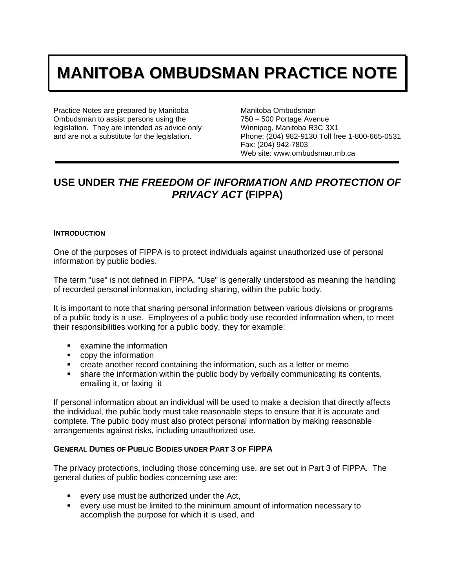# **MANITOBA OMBUDSMAN PRACTICE NOTE**

Practice Notes are prepared by Manitoba Ombudsman to assist persons using the legislation. They are intended as advice only and are not a substitute for the legislation.

Manitoba Ombudsman 750 – 500 Portage Avenue Winnipeg, Manitoba R3C 3X1 Phone: (204) 982-9130 Toll free 1-800-665-0531 Fax: (204) 942-7803 Web site: www.ombudsman.mb.ca

# **USE UNDER** *THE FREEDOM OF INFORMATION AND PROTECTION OF PRIVACY ACT* **(FIPPA)**

#### **INTRODUCTION**

One of the purposes of FIPPA is to protect individuals against unauthorized use of personal information by public bodies.

The term "use" is not defined in FIPPA. "Use" is generally understood as meaning the handling of recorded personal information, including sharing, within the public body.

It is important to note that sharing personal information between various divisions or programs of a public body is a use. Employees of a public body use recorded information when, to meet their responsibilities working for a public body, they for example:

- **EXAMPLE 12** examine the information
- **•** copy the information
- create another record containing the information, such as a letter or memo
- share the information within the public body by verbally communicating its contents, emailing it, or faxing it

If personal information about an individual will be used to make a decision that directly affects the individual, the public body must take reasonable steps to ensure that it is accurate and complete. The public body must also protect personal information by making reasonable arrangements against risks, including unauthorized use.

#### **GENERAL DUTIES OF PUBLIC BODIES UNDER PART 3 OF FIPPA**

The privacy protections, including those concerning use, are set out in Part 3 of FIPPA. The general duties of public bodies concerning use are:

- every use must be authorized under the Act,
- every use must be limited to the minimum amount of information necessary to accomplish the purpose for which it is used, and